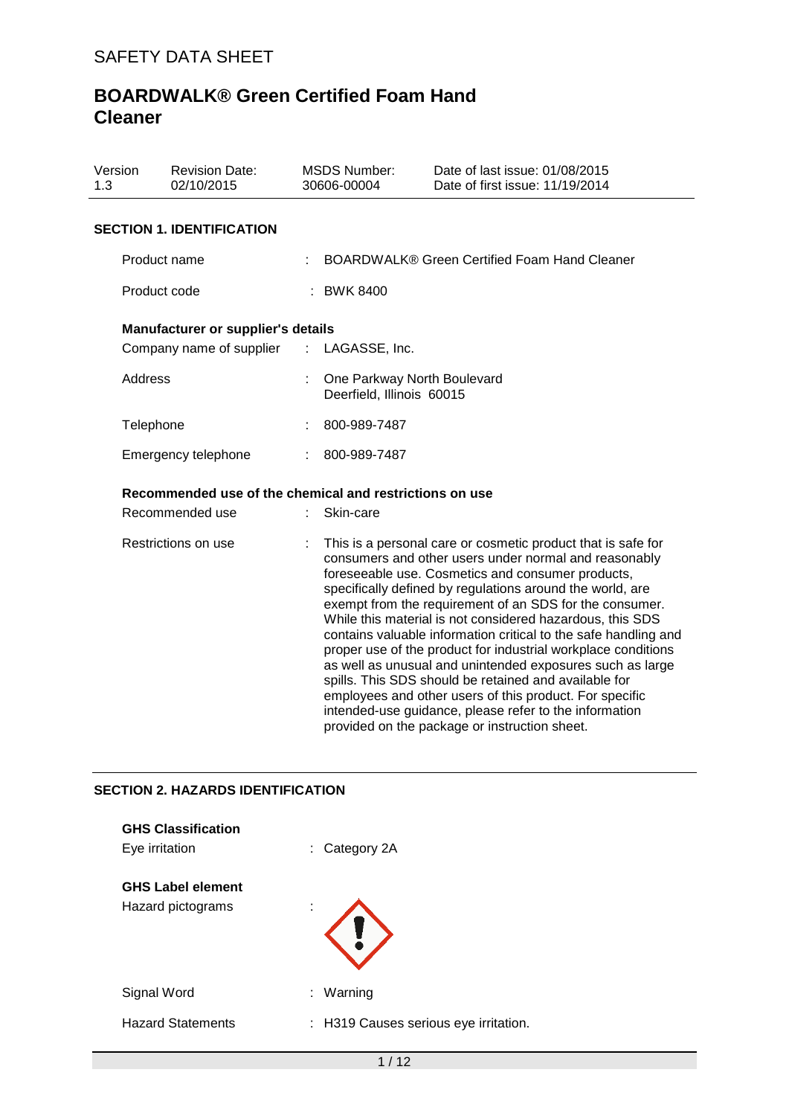| Version<br>1.3 | <b>Revision Date:</b><br>02/10/2015                     |                       | <b>MSDS Number:</b><br>30606-00004                       | Date of last issue: 01/08/2015<br>Date of first issue: 11/19/2014                                                                                                                                                                                                                                                                                                                                                                                                                                                                                                                                                                                                                                                                                                                               |  |
|----------------|---------------------------------------------------------|-----------------------|----------------------------------------------------------|-------------------------------------------------------------------------------------------------------------------------------------------------------------------------------------------------------------------------------------------------------------------------------------------------------------------------------------------------------------------------------------------------------------------------------------------------------------------------------------------------------------------------------------------------------------------------------------------------------------------------------------------------------------------------------------------------------------------------------------------------------------------------------------------------|--|
|                | <b>SECTION 1. IDENTIFICATION</b>                        |                       |                                                          |                                                                                                                                                                                                                                                                                                                                                                                                                                                                                                                                                                                                                                                                                                                                                                                                 |  |
|                | Product name                                            |                       |                                                          | BOARDWALK® Green Certified Foam Hand Cleaner                                                                                                                                                                                                                                                                                                                                                                                                                                                                                                                                                                                                                                                                                                                                                    |  |
|                | Product code                                            |                       | : BWK 8400                                               |                                                                                                                                                                                                                                                                                                                                                                                                                                                                                                                                                                                                                                                                                                                                                                                                 |  |
|                | Manufacturer or supplier's details                      |                       |                                                          |                                                                                                                                                                                                                                                                                                                                                                                                                                                                                                                                                                                                                                                                                                                                                                                                 |  |
|                | Company name of supplier                                | $\mathbb{Z}^{\times}$ | LAGASSE, Inc.                                            |                                                                                                                                                                                                                                                                                                                                                                                                                                                                                                                                                                                                                                                                                                                                                                                                 |  |
| Address        |                                                         |                       | One Parkway North Boulevard<br>Deerfield, Illinois 60015 |                                                                                                                                                                                                                                                                                                                                                                                                                                                                                                                                                                                                                                                                                                                                                                                                 |  |
| Telephone      |                                                         |                       | 800-989-7487                                             |                                                                                                                                                                                                                                                                                                                                                                                                                                                                                                                                                                                                                                                                                                                                                                                                 |  |
|                | Emergency telephone                                     |                       | 800-989-7487                                             |                                                                                                                                                                                                                                                                                                                                                                                                                                                                                                                                                                                                                                                                                                                                                                                                 |  |
|                | Recommended use of the chemical and restrictions on use |                       |                                                          |                                                                                                                                                                                                                                                                                                                                                                                                                                                                                                                                                                                                                                                                                                                                                                                                 |  |
|                | Recommended use                                         |                       | Skin-care                                                |                                                                                                                                                                                                                                                                                                                                                                                                                                                                                                                                                                                                                                                                                                                                                                                                 |  |
|                | Restrictions on use                                     |                       |                                                          | This is a personal care or cosmetic product that is safe for<br>consumers and other users under normal and reasonably<br>foreseeable use. Cosmetics and consumer products,<br>specifically defined by regulations around the world, are<br>exempt from the requirement of an SDS for the consumer.<br>While this material is not considered hazardous, this SDS<br>contains valuable information critical to the safe handling and<br>proper use of the product for industrial workplace conditions<br>as well as unusual and unintended exposures such as large<br>spills. This SDS should be retained and available for<br>employees and other users of this product. For specific<br>intended-use guidance, please refer to the information<br>provided on the package or instruction sheet. |  |

## **SECTION 2. HAZARDS IDENTIFICATION**

| <b>GHS Classification</b><br>Eye irritation   | Category 2A<br>÷.                     |
|-----------------------------------------------|---------------------------------------|
| <b>GHS Label element</b><br>Hazard pictograms | ٠                                     |
| Signal Word                                   | Warning<br>÷.                         |
| <b>Hazard Statements</b>                      | : H319 Causes serious eye irritation. |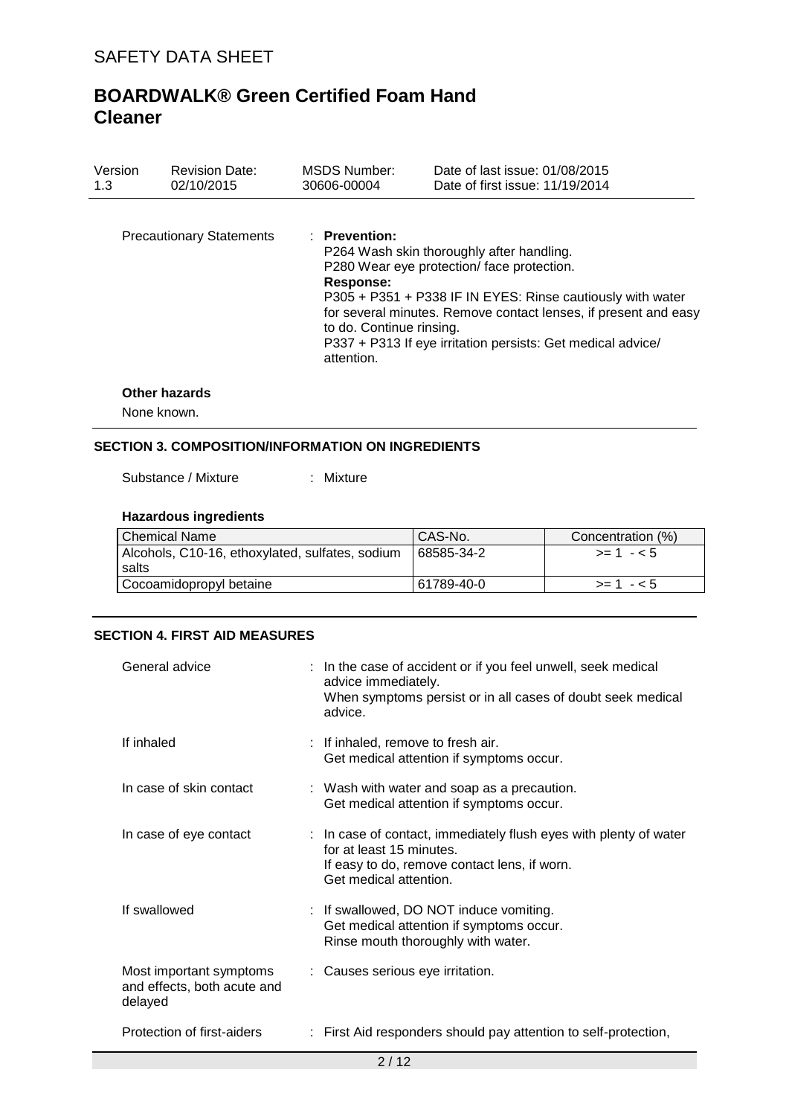| Version<br>1.3 | <b>Revision Date:</b><br>02/10/2015 | <b>MSDS Number:</b><br>30606-00004                                     | Date of last issue: 01/08/2015<br>Date of first issue: 11/19/2014                                                                                                                                                                                                                       |
|----------------|-------------------------------------|------------------------------------------------------------------------|-----------------------------------------------------------------------------------------------------------------------------------------------------------------------------------------------------------------------------------------------------------------------------------------|
|                | <b>Precautionary Statements</b>     | $:$ Prevention:<br>Response:<br>to do. Continue rinsing.<br>attention. | P264 Wash skin thoroughly after handling.<br>P280 Wear eye protection/ face protection.<br>P305 + P351 + P338 IF IN EYES: Rinse cautiously with water<br>for several minutes. Remove contact lenses, if present and easy<br>P337 + P313 If eye irritation persists: Get medical advice/ |
|                | Othar hayarda                       |                                                                        |                                                                                                                                                                                                                                                                                         |

## **Other hazards**

None known.

## **SECTION 3. COMPOSITION/INFORMATION ON INGREDIENTS**

Substance / Mixture : Mixture

## **Hazardous ingredients**

| <b>Chemical Name</b>                            | CAS-No.    | Concentration (%) |
|-------------------------------------------------|------------|-------------------|
| Alcohols, C10-16, ethoxylated, sulfates, sodium | 68585-34-2 | $> = 1 - 5$       |
| salts                                           |            |                   |
| Cocoamidopropyl betaine                         | 61789-40-0 | $> = 1 - 5$       |

### **SECTION 4. FIRST AID MEASURES**

| General advice                                                    | : In the case of accident or if you feel unwell, seek medical<br>advice immediately.<br>When symptoms persist or in all cases of doubt seek medical<br>advice.          |
|-------------------------------------------------------------------|-------------------------------------------------------------------------------------------------------------------------------------------------------------------------|
| If inhaled                                                        | : If inhaled, remove to fresh air.<br>Get medical attention if symptoms occur.                                                                                          |
| In case of skin contact                                           | : Wash with water and soap as a precaution.<br>Get medical attention if symptoms occur.                                                                                 |
| In case of eye contact                                            | : In case of contact, immediately flush eyes with plenty of water<br>for at least 15 minutes.<br>If easy to do, remove contact lens, if worn.<br>Get medical attention. |
| If swallowed                                                      | : If swallowed, DO NOT induce vomiting.<br>Get medical attention if symptoms occur.<br>Rinse mouth thoroughly with water.                                               |
| Most important symptoms<br>and effects, both acute and<br>delayed | : Causes serious eye irritation.                                                                                                                                        |
| Protection of first-aiders                                        | : First Aid responders should pay attention to self-protection,                                                                                                         |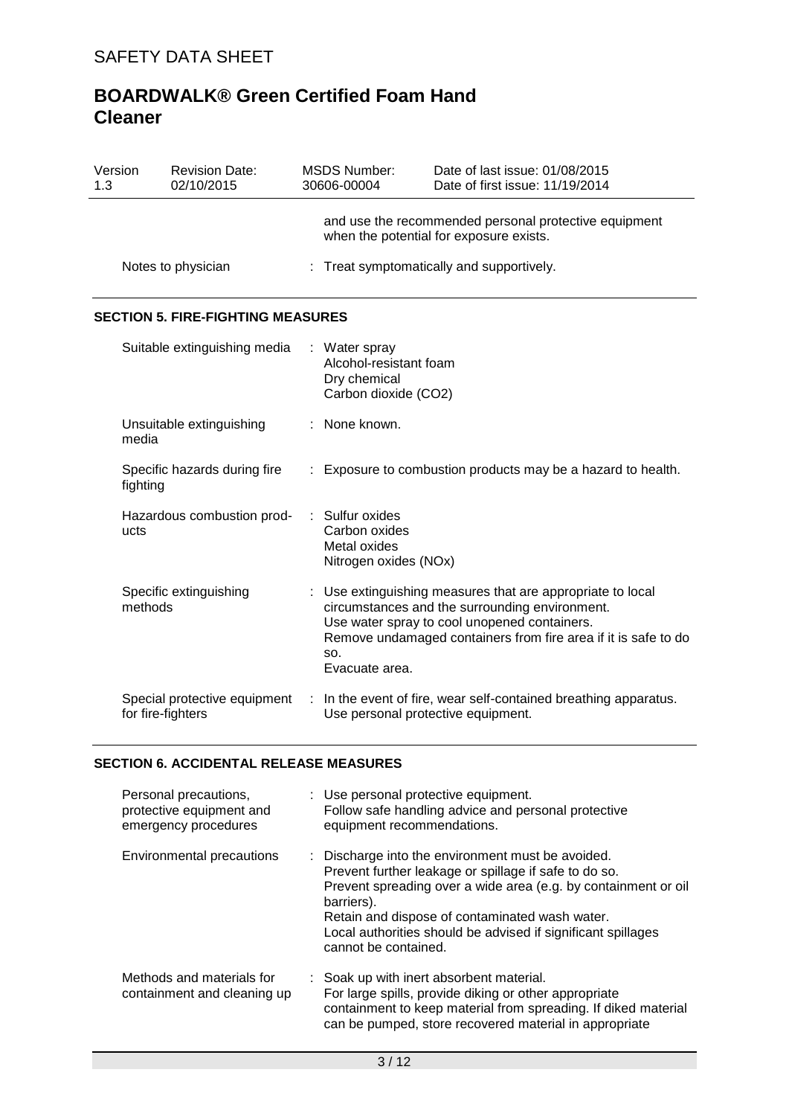| Version<br>1.3 | <b>Revision Date:</b><br>02/10/2015               | <b>MSDS Number:</b><br>30606-00004                                            | Date of last issue: 01/08/2015<br>Date of first issue: 11/19/2014                                                                                                                                                              |
|----------------|---------------------------------------------------|-------------------------------------------------------------------------------|--------------------------------------------------------------------------------------------------------------------------------------------------------------------------------------------------------------------------------|
|                |                                                   |                                                                               | and use the recommended personal protective equipment<br>when the potential for exposure exists.                                                                                                                               |
|                | Notes to physician                                |                                                                               | Treat symptomatically and supportively.                                                                                                                                                                                        |
|                | <b>SECTION 5. FIRE-FIGHTING MEASURES</b>          |                                                                               |                                                                                                                                                                                                                                |
|                | Suitable extinguishing media                      | Water spray<br>Alcohol-resistant foam<br>Dry chemical<br>Carbon dioxide (CO2) |                                                                                                                                                                                                                                |
|                | Unsuitable extinguishing<br>media                 | : None known.                                                                 |                                                                                                                                                                                                                                |
|                | Specific hazards during fire<br>fighting          |                                                                               | : Exposure to combustion products may be a hazard to health.                                                                                                                                                                   |
| ucts           | Hazardous combustion prod-                        | Sulfur oxides<br>Carbon oxides<br>Metal oxides<br>Nitrogen oxides (NOx)       |                                                                                                                                                                                                                                |
|                | Specific extinguishing<br>methods                 | SO.<br>Evacuate area.                                                         | : Use extinguishing measures that are appropriate to local<br>circumstances and the surrounding environment.<br>Use water spray to cool unopened containers.<br>Remove undamaged containers from fire area if it is safe to do |
|                | Special protective equipment<br>for fire-fighters |                                                                               | In the event of fire, wear self-contained breathing apparatus.<br>Use personal protective equipment.                                                                                                                           |

## **SECTION 6. ACCIDENTAL RELEASE MEASURES**

| Personal precautions,<br>protective equipment and<br>emergency procedures | : Use personal protective equipment.<br>Follow safe handling advice and personal protective<br>equipment recommendations.                                                                                                                                                                                                            |
|---------------------------------------------------------------------------|--------------------------------------------------------------------------------------------------------------------------------------------------------------------------------------------------------------------------------------------------------------------------------------------------------------------------------------|
| <b>Environmental precautions</b>                                          | : Discharge into the environment must be avoided.<br>Prevent further leakage or spillage if safe to do so.<br>Prevent spreading over a wide area (e.g. by containment or oil<br>barriers).<br>Retain and dispose of contaminated wash water.<br>Local authorities should be advised if significant spillages<br>cannot be contained. |
| Methods and materials for<br>containment and cleaning up                  | : Soak up with inert absorbent material.<br>For large spills, provide diking or other appropriate<br>containment to keep material from spreading. If diked material<br>can be pumped, store recovered material in appropriate                                                                                                        |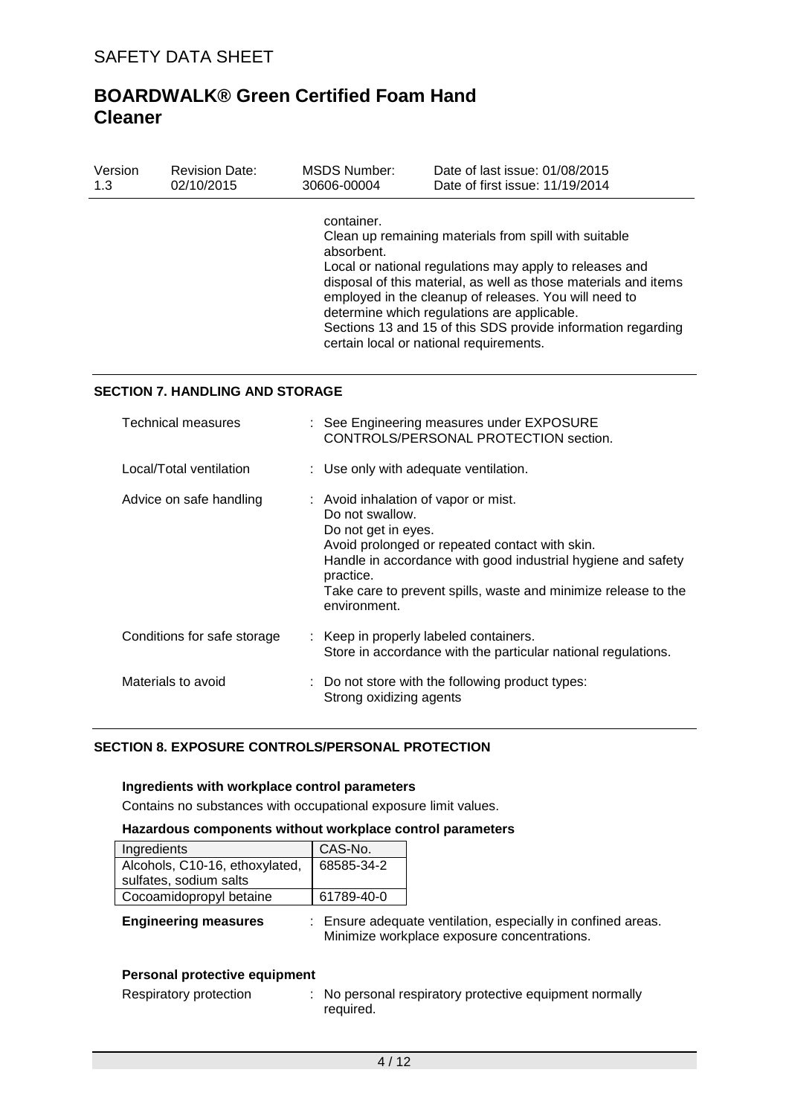| Version | <b>Revision Date:</b> | MSDS Number:             | Date of last issue: 01/08/2015                                                                                                                                                                                                                                                                                                                                                                         |
|---------|-----------------------|--------------------------|--------------------------------------------------------------------------------------------------------------------------------------------------------------------------------------------------------------------------------------------------------------------------------------------------------------------------------------------------------------------------------------------------------|
| 1.3     | 02/10/2015            | 30606-00004              | Date of first issue: 11/19/2014                                                                                                                                                                                                                                                                                                                                                                        |
|         |                       | container.<br>absorbent. | Clean up remaining materials from spill with suitable<br>Local or national regulations may apply to releases and<br>disposal of this material, as well as those materials and items<br>employed in the cleanup of releases. You will need to<br>determine which regulations are applicable.<br>Sections 13 and 15 of this SDS provide information regarding<br>certain local or national requirements. |

### **SECTION 7. HANDLING AND STORAGE**

| Technical measures          | : See Engineering measures under EXPOSURE<br>CONTROLS/PERSONAL PROTECTION section.                                                                                                                                                                                                              |
|-----------------------------|-------------------------------------------------------------------------------------------------------------------------------------------------------------------------------------------------------------------------------------------------------------------------------------------------|
| Local/Total ventilation     | : Use only with adequate ventilation.                                                                                                                                                                                                                                                           |
| Advice on safe handling     | : Avoid inhalation of vapor or mist.<br>Do not swallow.<br>Do not get in eyes.<br>Avoid prolonged or repeated contact with skin.<br>Handle in accordance with good industrial hygiene and safety<br>practice.<br>Take care to prevent spills, waste and minimize release to the<br>environment. |
| Conditions for safe storage | : Keep in properly labeled containers.<br>Store in accordance with the particular national regulations.                                                                                                                                                                                         |
| Materials to avoid          | : Do not store with the following product types:<br>Strong oxidizing agents                                                                                                                                                                                                                     |

## **SECTION 8. EXPOSURE CONTROLS/PERSONAL PROTECTION**

#### **Ingredients with workplace control parameters**

Contains no substances with occupational exposure limit values.

### **Hazardous components without workplace control parameters**

| Ingredients                    | CAS-No.    |
|--------------------------------|------------|
| Alcohols, C10-16, ethoxylated, | 68585-34-2 |
| sulfates, sodium salts         |            |
| Cocoamidopropyl betaine        | 61789-40-0 |

|  | <b>Engineering measures</b> |
|--|-----------------------------|
|  |                             |

**Engineering measures** : Ensure adequate ventilation, especially in confined areas. Minimize workplace exposure concentrations.

#### **Personal protective equipment**

| Respiratory protection |  |
|------------------------|--|
|------------------------|--|

: No personal respiratory protective equipment normally required.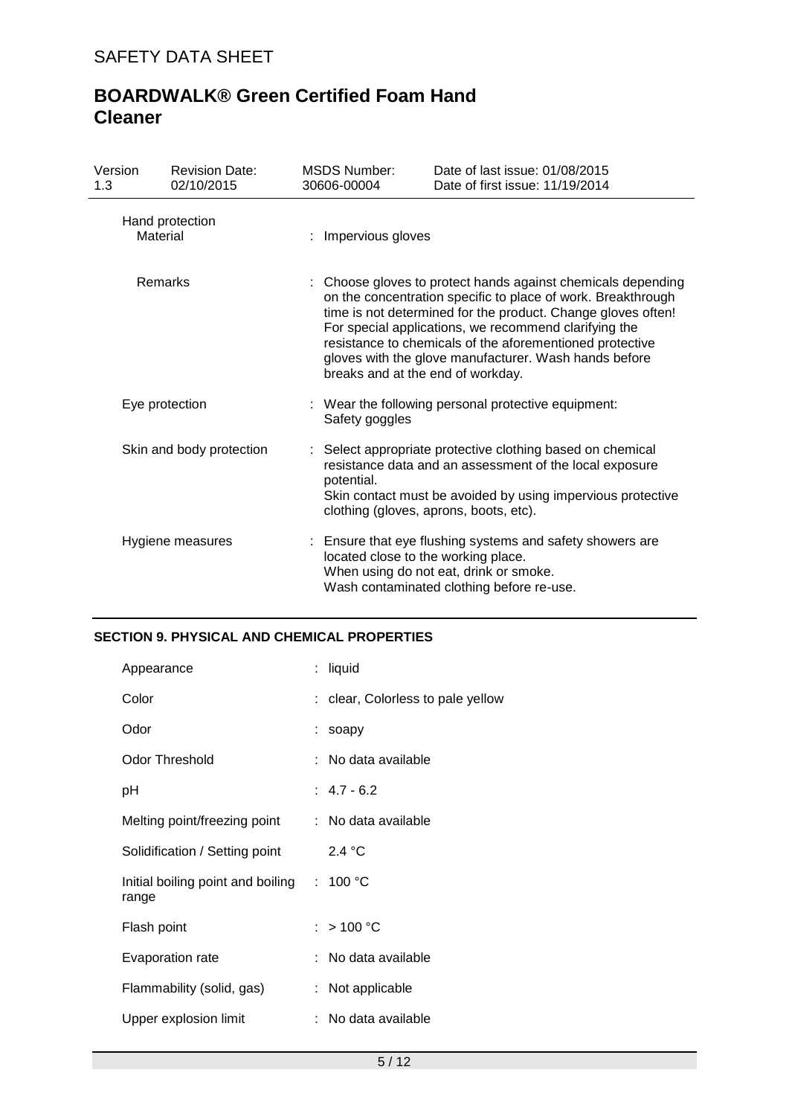| Version<br>1.3           | <b>Revision Date:</b><br>02/10/2015 | <b>MSDS Number:</b><br>30606-00004 | Date of last issue: 01/08/2015<br>Date of first issue: 11/19/2014                                                                                                                                                                                                                                                                                                                                             |  |  |
|--------------------------|-------------------------------------|------------------------------------|---------------------------------------------------------------------------------------------------------------------------------------------------------------------------------------------------------------------------------------------------------------------------------------------------------------------------------------------------------------------------------------------------------------|--|--|
|                          | Hand protection<br>Material         | Impervious gloves                  |                                                                                                                                                                                                                                                                                                                                                                                                               |  |  |
| Remarks                  |                                     |                                    | Choose gloves to protect hands against chemicals depending<br>on the concentration specific to place of work. Breakthrough<br>time is not determined for the product. Change gloves often!<br>For special applications, we recommend clarifying the<br>resistance to chemicals of the aforementioned protective<br>gloves with the glove manufacturer. Wash hands before<br>breaks and at the end of workday. |  |  |
|                          | Eye protection                      | Safety goggles                     | : Wear the following personal protective equipment:                                                                                                                                                                                                                                                                                                                                                           |  |  |
| Skin and body protection |                                     | potential.                         | : Select appropriate protective clothing based on chemical<br>resistance data and an assessment of the local exposure<br>Skin contact must be avoided by using impervious protective<br>clothing (gloves, aprons, boots, etc).                                                                                                                                                                                |  |  |
|                          | Hygiene measures                    |                                    | : Ensure that eye flushing systems and safety showers are<br>located close to the working place.<br>When using do not eat, drink or smoke.<br>Wash contaminated clothing before re-use.                                                                                                                                                                                                                       |  |  |

## **SECTION 9. PHYSICAL AND CHEMICAL PROPERTIES**

| Appearance                                 |    | : liquid                          |
|--------------------------------------------|----|-----------------------------------|
| Color                                      |    | : clear, Colorless to pale yellow |
| Odor                                       |    | : soapy                           |
| <b>Odor Threshold</b>                      |    | : No data available               |
| рH                                         |    | $: 4.7 - 6.2$                     |
| Melting point/freezing point               |    | : No data available               |
| Solidification / Setting point             |    | 2.4 °C                            |
| Initial boiling point and boiling<br>range | ÷. | 100 °C                            |
| Flash point                                |    | $:$ > 100 °C                      |
| Evaporation rate                           |    | No data available                 |
| Flammability (solid, gas)                  |    | : Not applicable                  |
| Upper explosion limit                      |    | No data available                 |
|                                            |    |                                   |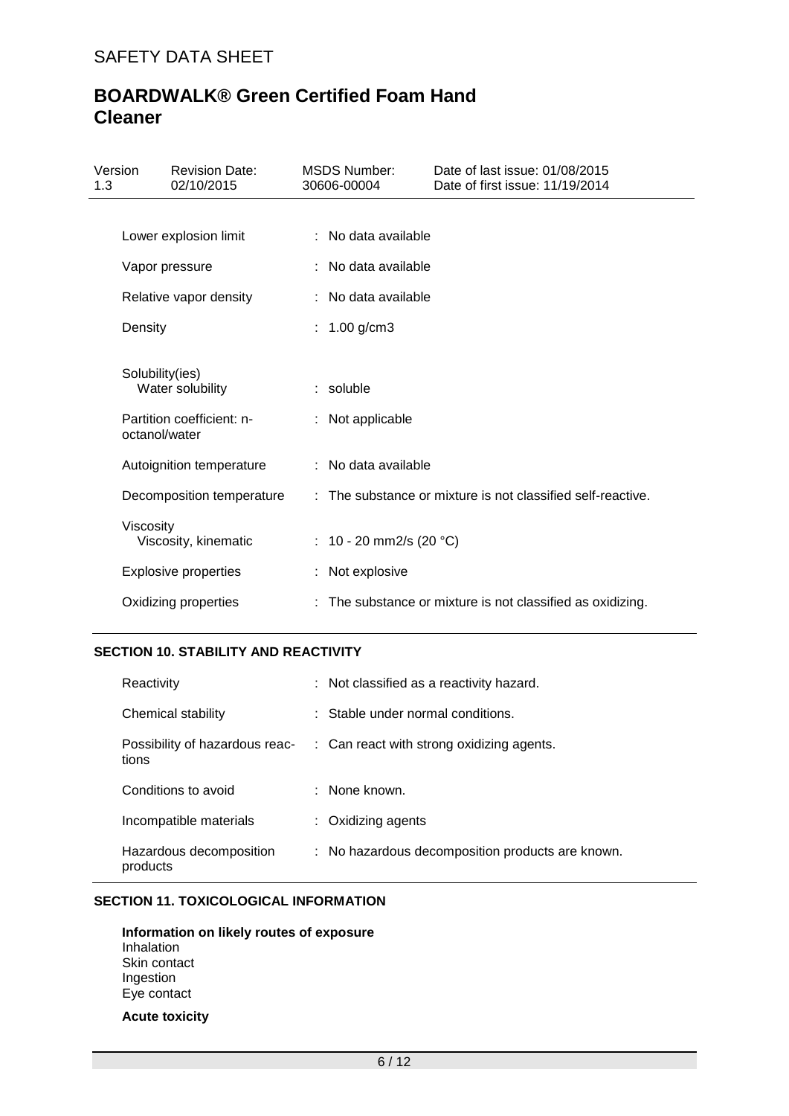| Version<br>1.3 |                 | <b>Revision Date:</b><br>02/10/2015 | <b>MSDS Number:</b><br>30606-00004 | Date of last issue: 01/08/2015<br>Date of first issue: 11/19/2014 |
|----------------|-----------------|-------------------------------------|------------------------------------|-------------------------------------------------------------------|
|                |                 |                                     |                                    |                                                                   |
|                |                 | Lower explosion limit               | : No data available                |                                                                   |
|                | Vapor pressure  |                                     | : No data available                |                                                                   |
|                |                 | Relative vapor density              | : No data available                |                                                                   |
|                | Density         |                                     | $1.00$ g/cm $3$                    |                                                                   |
|                | Solubility(ies) | Water solubility                    | $:$ soluble                        |                                                                   |
|                | octanol/water   | Partition coefficient: n-           | : Not applicable                   |                                                                   |
|                |                 | Autoignition temperature            | : No data available                |                                                                   |
|                |                 | Decomposition temperature           |                                    | : The substance or mixture is not classified self-reactive.       |
|                | Viscosity       | Viscosity, kinematic                | : 10 - 20 mm2/s (20 °C)            |                                                                   |
|                |                 | <b>Explosive properties</b>         | : Not explosive                    |                                                                   |
|                |                 | Oxidizing properties                |                                    | The substance or mixture is not classified as oxidizing.          |

## **SECTION 10. STABILITY AND REACTIVITY**

| Reactivity                              | : Not classified as a reactivity hazard.         |
|-----------------------------------------|--------------------------------------------------|
| Chemical stability                      | $\therefore$ Stable under normal conditions.     |
| Possibility of hazardous reac-<br>tions | : Can react with strong oxidizing agents.        |
| Conditions to avoid                     | : None known.                                    |
| Incompatible materials                  | $:$ Oxidizing agents                             |
| Hazardous decomposition<br>products     | : No hazardous decomposition products are known. |

## **SECTION 11. TOXICOLOGICAL INFORMATION**

**Information on likely routes of exposure** Inhalation Skin contact Ingestion Eye contact

**Acute toxicity**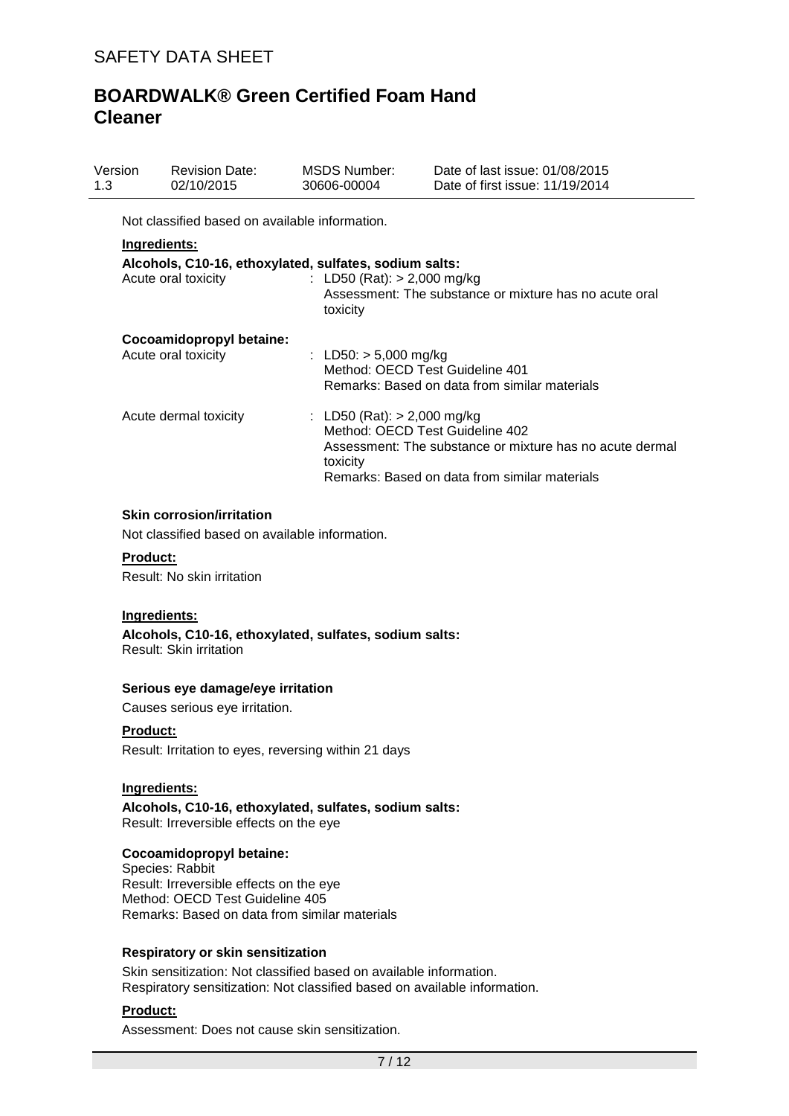| Version<br>1.3 | <b>Revision Date:</b><br>02/10/2015                    | MSDS Number:<br>30606-00004               | Date of last issue: 01/08/2015<br>Date of first issue: 11/19/2014                                                                            |
|----------------|--------------------------------------------------------|-------------------------------------------|----------------------------------------------------------------------------------------------------------------------------------------------|
|                | Not classified based on available information.         |                                           |                                                                                                                                              |
|                | <u> Ingredients:</u>                                   |                                           |                                                                                                                                              |
|                | Alcohols, C10-16, ethoxylated, sulfates, sodium salts: |                                           |                                                                                                                                              |
|                | Acute oral toxicity                                    | : LD50 (Rat): $> 2,000$ mg/kg<br>toxicity | Assessment: The substance or mixture has no acute oral                                                                                       |
|                | Cocoamidopropyl betaine:                               |                                           |                                                                                                                                              |
|                | Acute oral toxicity                                    | : LD50: $> 5,000$ mg/kg                   | Method: OECD Test Guideline 401<br>Remarks: Based on data from similar materials                                                             |
|                | Acute dermal toxicity                                  | : LD50 (Rat): $>$ 2,000 mg/kg<br>toxicity | Method: OECD Test Guideline 402<br>Assessment: The substance or mixture has no acute dermal<br>Remarks: Based on data from similar materials |

#### **Skin corrosion/irritation**

Not classified based on available information.

#### **Product:**

Result: No skin irritation

#### **Ingredients:**

**Alcohols, C10-16, ethoxylated, sulfates, sodium salts:** Result: Skin irritation

#### **Serious eye damage/eye irritation**

Causes serious eye irritation.

### **Product:**

Result: Irritation to eyes, reversing within 21 days

#### **Ingredients:**

**Alcohols, C10-16, ethoxylated, sulfates, sodium salts:** Result: Irreversible effects on the eye

### **Cocoamidopropyl betaine:**

Species: Rabbit Result: Irreversible effects on the eye Method: OECD Test Guideline 405 Remarks: Based on data from similar materials

#### **Respiratory or skin sensitization**

Skin sensitization: Not classified based on available information. Respiratory sensitization: Not classified based on available information.

## **Product:**

Assessment: Does not cause skin sensitization.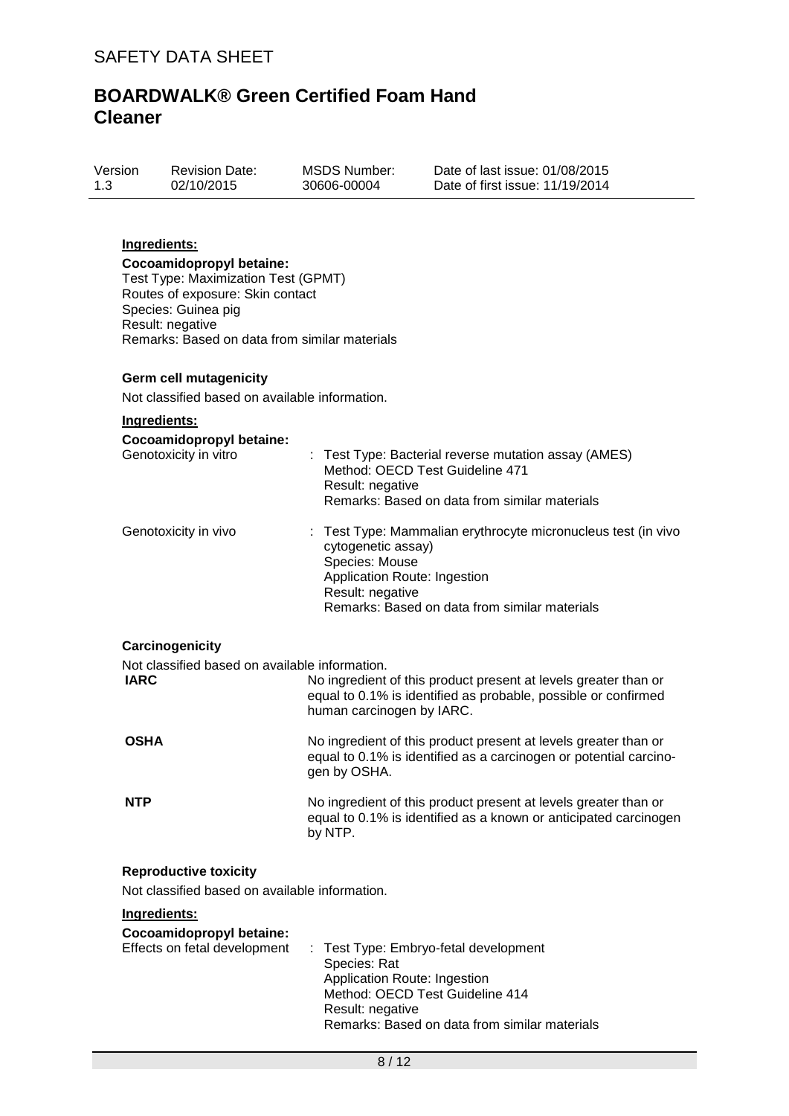| Version | <b>Revision Date:</b> | <b>MSDS Number:</b> | Date of last is  |
|---------|-----------------------|---------------------|------------------|
| 1.3     | 02/10/2015            | 30606-00004         | Date of first is |

ssue: 01/08/2015 ssue: 11/19/2014

## **Ingredients:**

**Cocoamidopropyl betaine:** Test Type: Maximization Test (GPMT) Routes of exposure: Skin contact Species: Guinea pig Result: negative Remarks: Based on data from similar materials

#### **Germ cell mutagenicity**

Not classified based on available information.

| Ingredients:                                   |                                                                                                                                                                                                          |  |
|------------------------------------------------|----------------------------------------------------------------------------------------------------------------------------------------------------------------------------------------------------------|--|
| Cocoamidopropyl betaine:                       |                                                                                                                                                                                                          |  |
| Genotoxicity in vitro                          | : Test Type: Bacterial reverse mutation assay (AMES)<br>Method: OECD Test Guideline 471<br>Result: negative<br>Remarks: Based on data from similar materials                                             |  |
| Genotoxicity in vivo                           | Test Type: Mammalian erythrocyte micronucleus test (in vivo<br>cytogenetic assay)<br>Species: Mouse<br>Application Route: Ingestion<br>Result: negative<br>Remarks: Based on data from similar materials |  |
| Carcinogenicity                                |                                                                                                                                                                                                          |  |
| Not classified based on available information. |                                                                                                                                                                                                          |  |
| <b>IARC</b>                                    | No ingredient of this product present at levels greater than or<br>equal to 0.1% is identified as probable, possible or confirmed<br>human carcinogen by IARC.                                           |  |
| <b>OSHA</b>                                    | No ingredient of this product present at levels greater than or<br>equal to 0.1% is identified as a carcinogen or potential carcino-<br>gen by OSHA.                                                     |  |
| <b>NTP</b>                                     | No ingredient of this product present at levels greater than or<br>equal to 0.1% is identified as a known or anticipated carcinogen<br>by NTP.                                                           |  |
| <b>Reproductive toxicity</b>                   |                                                                                                                                                                                                          |  |
| Not classified based on available information. |                                                                                                                                                                                                          |  |
| Ingredients:                                   |                                                                                                                                                                                                          |  |
| Cocoamidopropyl betaine:                       |                                                                                                                                                                                                          |  |
| Effects on fetal development                   | : Test Type: Embryo-fetal development<br>Species: Rat<br>Application Route: Ingestion<br>Method: OECD Test Guideline 414<br>Result: negative<br>Remarks: Based on data from similar materials            |  |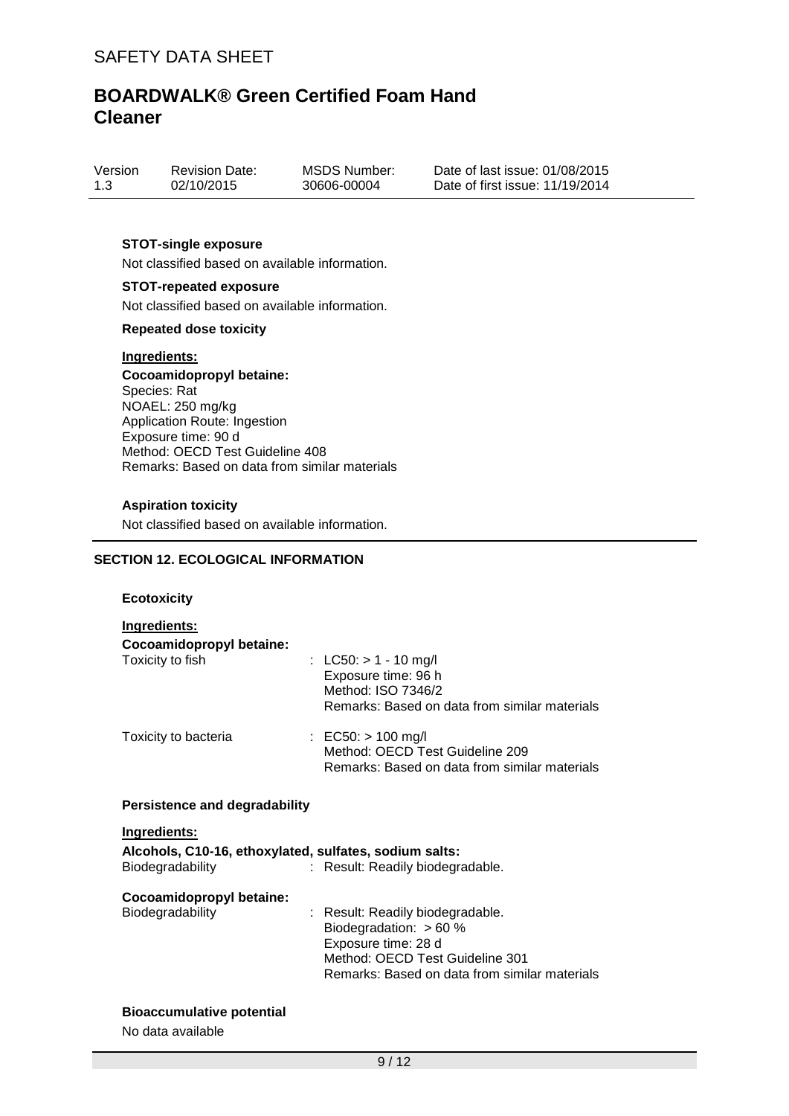| Version | <b>Revision Date:</b> | MSDS Number: | Date of last issue: 01/08/2015  |
|---------|-----------------------|--------------|---------------------------------|
| 1.3     | 02/10/2015            | 30606-00004  | Date of first issue: 11/19/2014 |

#### **STOT-single exposure**

Not classified based on available information.

### **STOT-repeated exposure**

Not classified based on available information.

### **Repeated dose toxicity**

#### **Ingredients:**

**Cocoamidopropyl betaine:** Species: Rat NOAEL: 250 mg/kg Application Route: Ingestion Exposure time: 90 d Method: OECD Test Guideline 408 Remarks: Based on data from similar materials

### **Aspiration toxicity**

Not classified based on available information.

## **SECTION 12. ECOLOGICAL INFORMATION**

#### **Ecotoxicity**

### **Ingredients:**

| Cocoamidopropyl betaine:<br>Toxicity to fish | : LC50: $> 1 - 10$ mg/l<br>Exposure time: 96 h<br>Method: ISO 7346/2<br>Remarks: Based on data from similar materials |
|----------------------------------------------|-----------------------------------------------------------------------------------------------------------------------|
| Toxicity to bacteria                         | : EC50: $> 100$ mg/l<br>Method: OECD Test Guideline 209<br>Remarks: Based on data from similar materials              |

### **Persistence and degradability**

#### **Ingredients:**

| Alcohols, C10-16, ethoxylated, sulfates, sodium salts:<br>Biodegradability | : Result: Readily biodegradable.              |
|----------------------------------------------------------------------------|-----------------------------------------------|
|                                                                            |                                               |
| Cocoamidopropyl betaine:                                                   |                                               |
| Biodegradability                                                           | : Result: Readily biodegradable.              |
|                                                                            | Biodegradation: $> 60 \%$                     |
|                                                                            | Exposure time: 28 d                           |
|                                                                            | Method: OECD Test Guideline 301               |
|                                                                            | Remarks: Based on data from similar materials |

### **Bioaccumulative potential**

No data available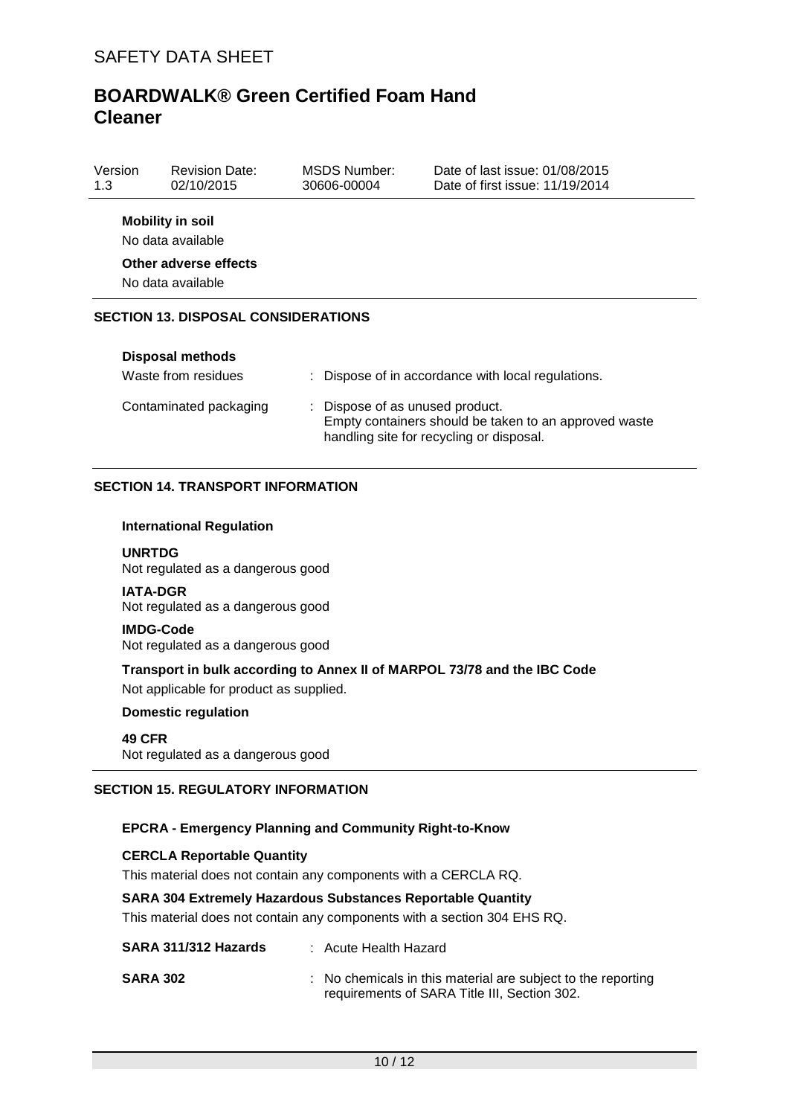| Version<br>1.3                             | <b>Revision Date:</b><br>02/10/2015          | MSDS Number:<br>30606-00004 | Date of last issue: 01/08/2015<br>Date of first issue: 11/19/2014 |  |  |
|--------------------------------------------|----------------------------------------------|-----------------------------|-------------------------------------------------------------------|--|--|
|                                            | <b>Mobility in soil</b><br>No data available |                             |                                                                   |  |  |
| Other adverse effects<br>No data available |                                              |                             |                                                                   |  |  |
|                                            | <b>SECTION 13. DISPOSAL CONSIDERATIONS</b>   |                             |                                                                   |  |  |
|                                            | <b>Disposal methods</b>                      |                             |                                                                   |  |  |

| Waste from residues    | : Dispose of in accordance with local regulations.                                                                                   |
|------------------------|--------------------------------------------------------------------------------------------------------------------------------------|
| Contaminated packaging | : Dispose of as unused product.<br>Empty containers should be taken to an approved waste<br>handling site for recycling or disposal. |

### **SECTION 14. TRANSPORT INFORMATION**

#### **International Regulation**

**UNRTDG** Not regulated as a dangerous good

**IATA-DGR** Not regulated as a dangerous good

## **IMDG-Code**

Not regulated as a dangerous good

**Transport in bulk according to Annex II of MARPOL 73/78 and the IBC Code** Not applicable for product as supplied.

#### **Domestic regulation**

**49 CFR** Not regulated as a dangerous good

#### **SECTION 15. REGULATORY INFORMATION**

### **EPCRA - Emergency Planning and Community Right-to-Know**

#### **CERCLA Reportable Quantity**

This material does not contain any components with a CERCLA RQ.

#### **SARA 304 Extremely Hazardous Substances Reportable Quantity**

This material does not contain any components with a section 304 EHS RQ.

| SARA 311/312 Hazards | : Acute Health Hazard                                                                                        |
|----------------------|--------------------------------------------------------------------------------------------------------------|
| <b>SARA 302</b>      | : No chemicals in this material are subject to the reporting<br>requirements of SARA Title III, Section 302. |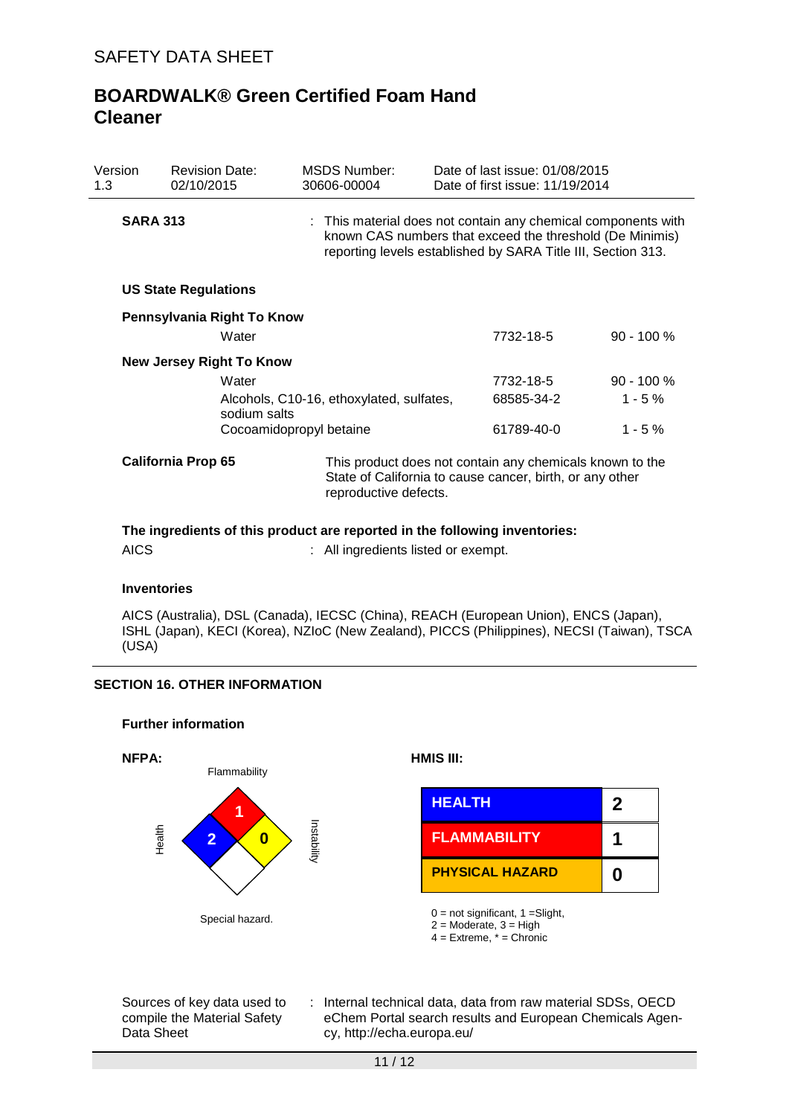| Version<br>1.3            | <b>Revision Date:</b><br>02/10/2015 | <b>MSDS Number:</b><br>30606-00004       | Date of last issue: 01/08/2015<br>Date of first issue: 11/19/2014                                                                                                                         |              |  |  |
|---------------------------|-------------------------------------|------------------------------------------|-------------------------------------------------------------------------------------------------------------------------------------------------------------------------------------------|--------------|--|--|
| <b>SARA 313</b>           |                                     |                                          | : This material does not contain any chemical components with<br>known CAS numbers that exceed the threshold (De Minimis)<br>reporting levels established by SARA Title III, Section 313. |              |  |  |
|                           | <b>US State Regulations</b>         |                                          |                                                                                                                                                                                           |              |  |  |
|                           | Pennsylvania Right To Know<br>Water |                                          | 7732-18-5                                                                                                                                                                                 | $90 - 100 %$ |  |  |
|                           | <b>New Jersey Right To Know</b>     |                                          |                                                                                                                                                                                           |              |  |  |
|                           | Water                               |                                          | 7732-18-5                                                                                                                                                                                 | $90 - 100 %$ |  |  |
|                           | sodium salts                        | Alcohols, C10-16, ethoxylated, sulfates, | 68585-34-2                                                                                                                                                                                | $1 - 5 \%$   |  |  |
|                           | Cocoamidopropyl betaine             | 61789-40-0                               | $1 - 5%$                                                                                                                                                                                  |              |  |  |
| <b>California Prop 65</b> |                                     |                                          | This product does not contain any chemicals known to the<br>State of California to cause cancer, birth, or any other<br>reproductive defects.                                             |              |  |  |
|                           |                                     |                                          |                                                                                                                                                                                           |              |  |  |

**The ingredients of this product are reported in the following inventories:**

AICS : All ingredients listed or exempt.

#### **Inventories**

AICS (Australia), DSL (Canada), IECSC (China), REACH (European Union), ENCS (Japan), ISHL (Japan), KECI (Korea), NZIoC (New Zealand), PICCS (Philippines), NECSI (Taiwan), TSCA (USA)

## **SECTION 16. OTHER INFORMATION**

#### **Further information**



Sources of key data used to compile the Material Safety Data Sheet

: Internal technical data, data from raw material SDSs, OECD eChem Portal search results and European Chemicals Agency, http://echa.europa.eu/